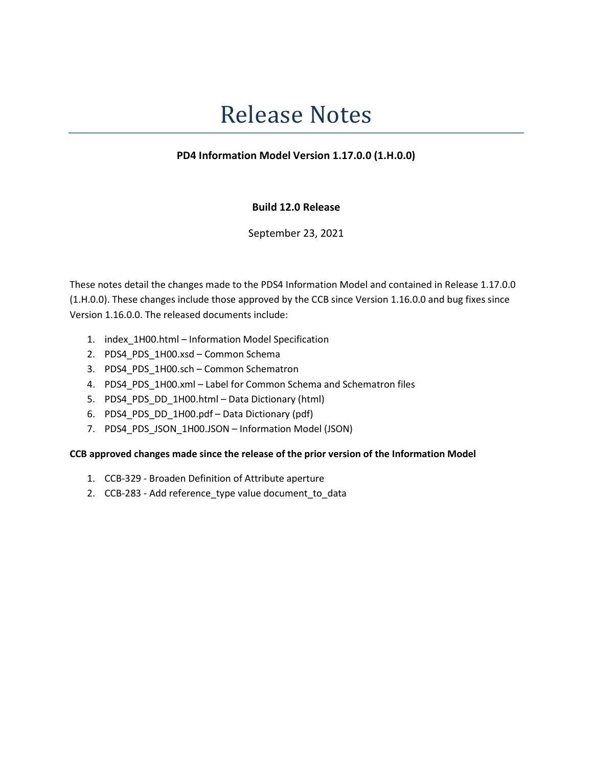# Release Notes

## PD4 Information Model Version 1.17.0.0 (1.H.0.0)

## Build 12.0 Release

September 23, 2021

These notes detail the changes made to the PDS4 Information Model and contained in Release 1.17.0.0 (1.H.0.0). These changes include those approved by the CCB since Version 1.16.0.0 and bug fixes since Version 1.16.0.0. The released documents include:

- 1. index\_1H00.html Information Model Specification
- 2. PDS4\_PDS\_1H00.xsd Common Schema
- 3. PDS4\_PDS\_1H00.sch Common Schematron
- 4. PDS4 PDS 1H00.xml Label for Common Schema and Schematron files
- 5. PDS4\_PDS\_DD\_1H00.html Data Dictionary (html)
- 6. PDS4\_PDS\_DD\_1H00.pdf Data Dictionary (pdf)
- 7. PDS4\_PDS\_JSON\_1H00.JSON Information Model (JSON)

### CCB approved changes made since the release of the prior version of the Information Model

- 1. CCB-329 Broaden Definition of Attribute aperture
- 2. CCB-283 Add reference\_type value document\_to\_data